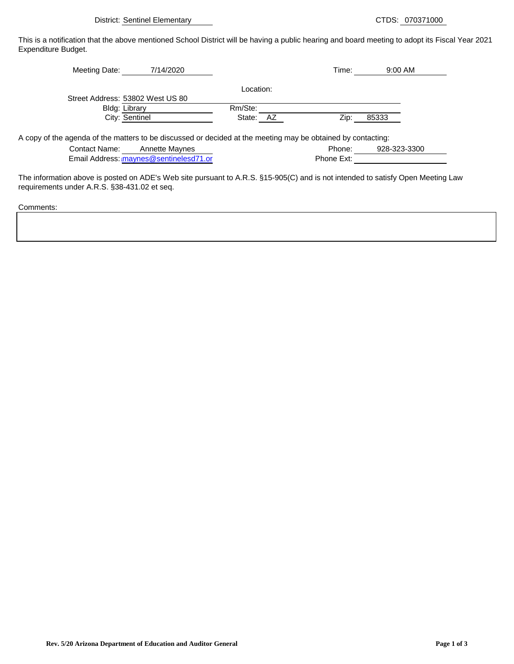District: Sentinel Elementary CTDS: 070371000

This is a notification that the above mentioned School District will be having a public hearing and board meeting to adopt its Fiscal Year 2021 Expenditure Budget.

| Meeting Date: | 7/14/2020                        |              | Time: | 9:00 AM |
|---------------|----------------------------------|--------------|-------|---------|
|               |                                  | Location:    |       |         |
|               | Street Address: 53802 West US 80 |              |       |         |
|               | <b>Bldg: Library</b>             | Rm/Ste:      |       |         |
|               | City: Sentinel                   | State:<br>AZ | Zip:  | 85333   |
|               |                                  |              |       |         |

A copy of the agenda of the matters to be discussed or decided at the meeting may be obtained by contacting:

| <b>Contact Name:</b> | Annette Maynes                         | Phone:     | 928-323-3300 |
|----------------------|----------------------------------------|------------|--------------|
|                      | Email Address: maynes@sentinelesd71.or | Phone Ext: |              |

The information above is posted on ADE's Web site pursuant to A.R.S. §15-905(C) and is not intended to satisfy Open Meeting Law requirements under A.R.S. §38-431.02 et seq.

Comments: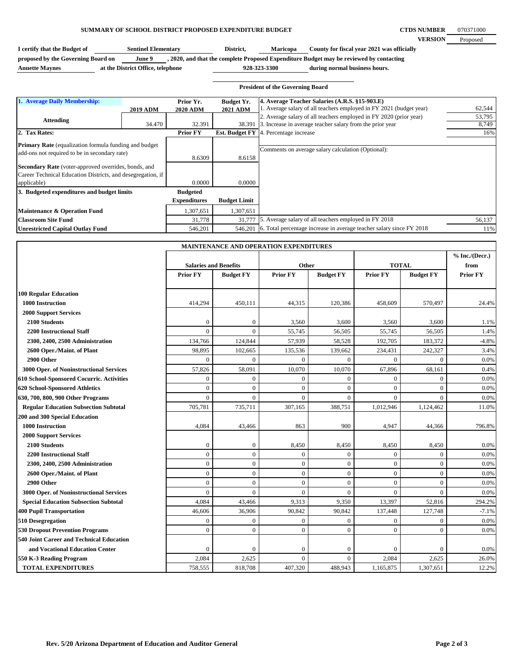## **SUMMARY OF SCHOOL DISTRICT PROPOSED EXPENDITURE BUDGET**

**CTDS NUMBER VERSION** 070371000 Proposed

I certify that the Budget of **Sentinel Elementary District, Maricopa** County for fiscal year 2021 was officially **proposed by the Governing Board on June 9 , 2020, and that the complete Proposed Expenditure Budget may be reviewed by contacting Sentinel Elementary Maricopa**

**Annette Maynes at the District Office, telephone**

**during normal business hours. 928-323-3300**

| <b>President of the Governing Board</b>                                                                                                                                |                 |                                        |                                      |                                                                                                                                 |                 |  |
|------------------------------------------------------------------------------------------------------------------------------------------------------------------------|-----------------|----------------------------------------|--------------------------------------|---------------------------------------------------------------------------------------------------------------------------------|-----------------|--|
| 1. Average Daily Membership:                                                                                                                                           | <b>2019 ADM</b> | Prior Yr.<br><b>2020 ADM</b>           | <b>Budget Yr.</b><br><b>2021 ADM</b> | 4. Average Teacher Salaries (A.R.S. §15-903.E)<br>1. Average salary of all teachers employed in FY 2021 (budget year)           | 62,544          |  |
| <b>Attending</b>                                                                                                                                                       | 34.470          | 32.391                                 | 38.391                               | 2. Average salary of all teachers employed in FY 2020 (prior year)<br>3. Increase in average teacher salary from the prior year | 53,795<br>8,749 |  |
| 2. Tax Rates:                                                                                                                                                          |                 | <b>Prior FY</b>                        | <b>Est. Budget FY</b>                | 4. Percentage increase                                                                                                          | 16%             |  |
| <b>Primary Rate</b> (equalization formula funding and budget)<br>add-ons not required to be in secondary rate)<br>Secondary Rate (voter-approved overrides, bonds, and |                 | 8.6309                                 | 8.6158                               | Comments on average salary calculation (Optional):                                                                              |                 |  |
| Career Technical Education Districts, and desegregation, if<br>applicable)                                                                                             |                 | 0.0000                                 | 0.0000                               |                                                                                                                                 |                 |  |
| 3. Budgeted expenditures and budget limits                                                                                                                             |                 | <b>Budgeted</b><br><b>Expenditures</b> | <b>Budget Limit</b>                  |                                                                                                                                 |                 |  |
| Maintenance & Operation Fund                                                                                                                                           |                 | 1,307,651                              | 1,307,651                            |                                                                                                                                 |                 |  |
| <b>Classroom Site Fund</b>                                                                                                                                             |                 | 31,778                                 | 31,777                               | 5. Average salary of all teachers employed in FY 2018                                                                           | 56,137          |  |
| <b>Unrestricted Capital Outlay Fund</b>                                                                                                                                |                 | 546,201                                | 546,201                              | 6. Total percentage increase in average teacher salary since FY 2018                                                            | 11%             |  |

|                                              | MAINTENANCE AND OPERATION EXPENDITURES |                  |                 |                  |                 |                  |                          |
|----------------------------------------------|----------------------------------------|------------------|-----------------|------------------|-----------------|------------------|--------------------------|
|                                              | <b>Salaries and Benefits</b>           |                  | Other           |                  | <b>TOTAL</b>    |                  | % Inc. / (Decr.)<br>from |
|                                              | <b>Prior FY</b>                        | <b>Budget FY</b> | <b>Prior FY</b> | <b>Budget FY</b> | <b>Prior FY</b> | <b>Budget FY</b> | <b>Prior FY</b>          |
| <b>100 Regular Education</b>                 |                                        |                  |                 |                  |                 |                  |                          |
| 1000 Instruction                             | 414,294                                | 450,111          | 44,315          | 120,386          | 458,609         | 570,497          | 24.4%                    |
| <b>2000 Support Services</b>                 |                                        |                  |                 |                  |                 |                  |                          |
| 2100 Students                                | $\mathbf{0}$                           | $\mathbf{0}$     | 3,560           | 3,600            | 3,560           | 3,600            | 1.1%                     |
| <b>2200 Instructional Staff</b>              | $\Omega$                               | $\Omega$         | 55,745          | 56,505           | 55,745          | 56,505           | 1.4%                     |
| 2300, 2400, 2500 Administration              | 134,766                                | 124,844          | 57,939          | 58,528           | 192,705         | 183,372          | $-4.8%$                  |
| 2600 Oper./Maint. of Plant                   | 98,895                                 | 102,665          | 135,536         | 139,662          | 234,431         | 242,327          | 3.4%                     |
| 2900 Other                                   | $\Omega$                               | $\overline{0}$   | $\overline{0}$  | $\Omega$         | $\Omega$        | $\overline{0}$   | 0.0%                     |
| 3000 Oper. of Noninstructional Services      | 57,826                                 | 58,091           | 10,070          | 10,070           | 67,896          | 68,161           | 0.4%                     |
| 610 School-Sponsored Cocurric. Activities    | $\Omega$                               | $\mathbf{0}$     | $\overline{0}$  | $\theta$         | $\Omega$        | $\Omega$         | 0.0%                     |
| 620 School-Sponsored Athletics               | $\Omega$                               | $\Omega$         | $\theta$        | $\Omega$         | $\Omega$        | $\Omega$         | 0.0%                     |
| 630, 700, 800, 900 Other Programs            | $\Omega$                               | $\Omega$         | $\theta$        | $\Omega$         | $\Omega$        | $\Omega$         | 0.0%                     |
| <b>Regular Education Subsection Subtotal</b> | 705,781                                | 735,711          | 307,165         | 388,751          | 1,012,946       | 1,124,462        | 11.0%                    |
| 200 and 300 Special Education                |                                        |                  |                 |                  |                 |                  |                          |
| 1000 Instruction                             | 4,084                                  | 43,466           | 863             | 900              | 4,947           | 44,366           | 796.8%                   |
| <b>2000 Support Services</b>                 |                                        |                  |                 |                  |                 |                  |                          |
| 2100 Students                                | $\Omega$                               | $\mathbf{0}$     | 8,450           | 8,450            | 8,450           | 8,450            | 0.0%                     |
| <b>2200 Instructional Staff</b>              | $\Omega$                               | $\mathbf{0}$     | $\theta$        | $\Omega$         | $\Omega$        | $\Omega$         | 0.0%                     |
| 2300, 2400, 2500 Administration              | $\Omega$                               | $\Omega$         | $\overline{0}$  | $\Omega$         | $\Omega$        | $\overline{0}$   | 0.0%                     |
| 2600 Oper./Maint. of Plant                   | $\Omega$                               | $\overline{0}$   | $\overline{0}$  | $\theta$         | $\Omega$        | $\Omega$         | 0.0%                     |
| 2900 Other                                   | $\Omega$                               | $\mathbf{0}$     | $\overline{0}$  | $\Omega$         | $\Omega$        | $\Omega$         | 0.0%                     |
| 3000 Oper. of Noninstructional Services      | $\Omega$                               | $\Omega$         | $\theta$        | $\Omega$         | $\Omega$        | $\Omega$         | 0.0%                     |
| <b>Special Education Subsection Subtotal</b> | 4,084                                  | 43,466           | 9,313           | 9,350            | 13,397          | 52,816           | 294.2%                   |
| <b>400 Pupil Transportation</b>              | 46,606                                 | 36,906           | 90,842          | 90,842           | 137,448         | 127,748          | $-7.1%$                  |
| 510 Desegregation                            | $\mathbf{0}$                           | $\mathbf{0}$     | $\overline{0}$  | $\mathbf{0}$     | $\Omega$        | $\overline{0}$   | 0.0%                     |
| <b>530 Dropout Prevention Programs</b>       | $\Omega$                               | $\mathbf{0}$     | $\overline{0}$  | $\Omega$         | $\mathbf{0}$    | $\overline{0}$   | 0.0%                     |
| 540 Joint Career and Technical Education     |                                        |                  |                 |                  |                 |                  |                          |
| and Vocational Education Center              | $\overline{0}$                         | $\Omega$         | $\theta$        | $\Omega$         | $\Omega$        | $\theta$         | 0.0%                     |
| 550 K-3 Reading Program                      | 2,084                                  | 2,625            | $\mathbf{0}$    | $\theta$         | 2,084           | 2,625            | 26.0%                    |
| <b>TOTAL EXPENDITURES</b>                    | 758,555                                | 818,708          | 407,320         | 488,943          | 1,165,875       | 1,307,651        | 12.2%                    |